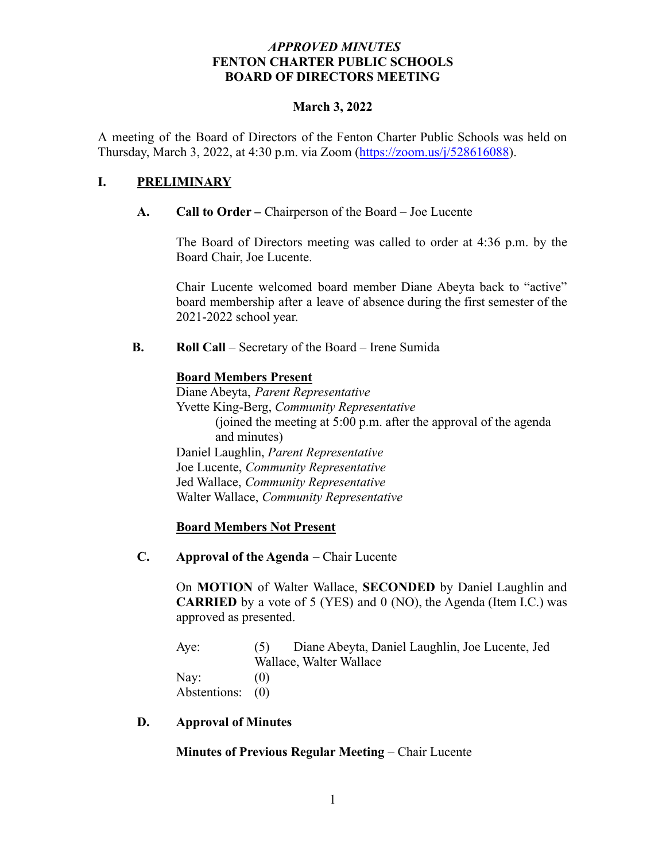# *APPROVED MINUTES* **FENTON CHARTER PUBLIC SCHOOLS BOARD OF DIRECTORS MEETING**

#### **March 3, 2022**

A meeting of the Board of Directors of the Fenton Charter Public Schools was held on Thursday, March 3, 2022, at 4:30 p.m. via Zoom (<https://zoom.us/j/528616088>).

# **I. PRELIMINARY**

# **A. Call to Order –** Chairperson of the Board – Joe Lucente

The Board of Directors meeting was called to order at 4:36 p.m. by the Board Chair, Joe Lucente.

Chair Lucente welcomed board member Diane Abeyta back to "active" board membership after a leave of absence during the first semester of the 2021-2022 school year.

**B. Roll Call** – Secretary of the Board – Irene Sumida

# **Board Members Present**

Diane Abeyta, *Parent Representative* Yvette King-Berg, *Community Representative* (joined the meeting at 5:00 p.m. after the approval of the agenda and minutes) Daniel Laughlin, *Parent Representative* Joe Lucente, *Community Representative* Jed Wallace, *Community Representative* Walter Wallace, *Community Representative*

#### **Board Members Not Present**

**C. Approval of the Agenda** – Chair Lucente

On **MOTION** of Walter Wallace, **SECONDED** by Daniel Laughlin and **CARRIED** by a vote of 5 (YES) and 0 (NO), the Agenda (Item I.C.) was approved as presented.

| Aye:             | Diane Abeyta, Daniel Laughlin, Joe Lucente, Jed<br>(5) |  |  |  |
|------------------|--------------------------------------------------------|--|--|--|
|                  | Wallace, Walter Wallace                                |  |  |  |
| Nay:             | (0)                                                    |  |  |  |
| Abstentions: (0) |                                                        |  |  |  |

#### **D. Approval of Minutes**

**Minutes of Previous Regular Meeting** – Chair Lucente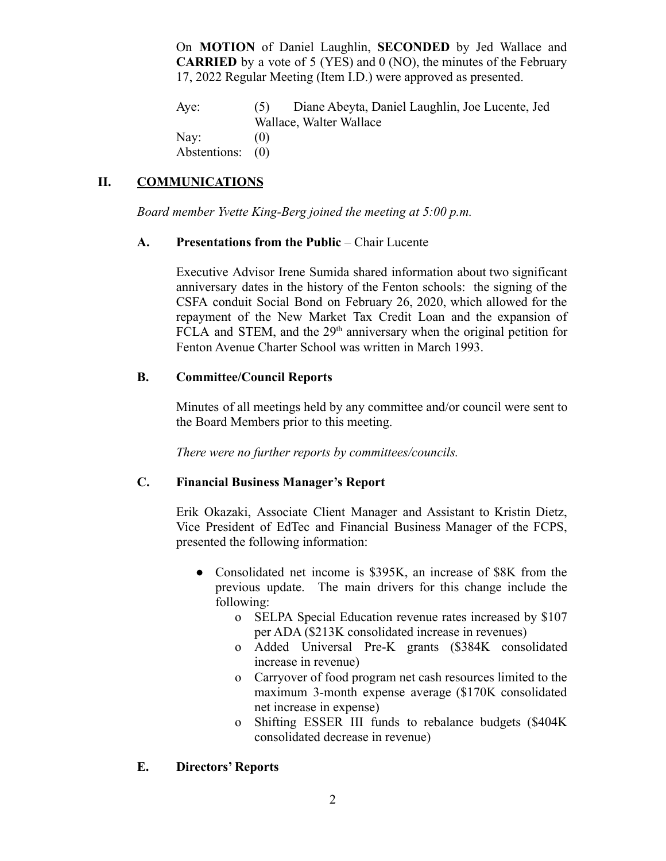On **MOTION** of Daniel Laughlin, **SECONDED** by Jed Wallace and **CARRIED** by a vote of 5 (YES) and 0 (NO), the minutes of the February 17, 2022 Regular Meeting (Item I.D.) were approved as presented.

Aye: (5) Diane Abeyta, Daniel Laughlin, Joe Lucente, Jed Wallace, Walter Wallace Nav:  $(0)$ Abstentions: (0)

# **II. COMMUNICATIONS**

*Board member Yvette King-Berg joined the meeting at 5:00 p.m.*

# **A. Presentations from the Public** – Chair Lucente

Executive Advisor Irene Sumida shared information about two significant anniversary dates in the history of the Fenton schools: the signing of the CSFA conduit Social Bond on February 26, 2020, which allowed for the repayment of the New Market Tax Credit Loan and the expansion of FCLA and STEM, and the 29<sup>th</sup> anniversary when the original petition for Fenton Avenue Charter School was written in March 1993.

# **B. Committee/Council Reports**

Minutes of all meetings held by any committee and/or council were sent to the Board Members prior to this meeting.

*There were no further reports by committees/councils.*

# **C. Financial Business Manager's Report**

Erik Okazaki, Associate Client Manager and Assistant to Kristin Dietz, Vice President of EdTec and Financial Business Manager of the FCPS, presented the following information:

- Consolidated net income is \$395K, an increase of \$8K from the previous update. The main drivers for this change include the following:
	- o SELPA Special Education revenue rates increased by \$107 per ADA (\$213K consolidated increase in revenues)
	- o Added Universal Pre-K grants (\$384K consolidated increase in revenue)
	- o Carryover of food program net cash resources limited to the maximum 3-month expense average (\$170K consolidated net increase in expense)
	- o Shifting ESSER III funds to rebalance budgets (\$404K consolidated decrease in revenue)

# **E. Directors' Reports**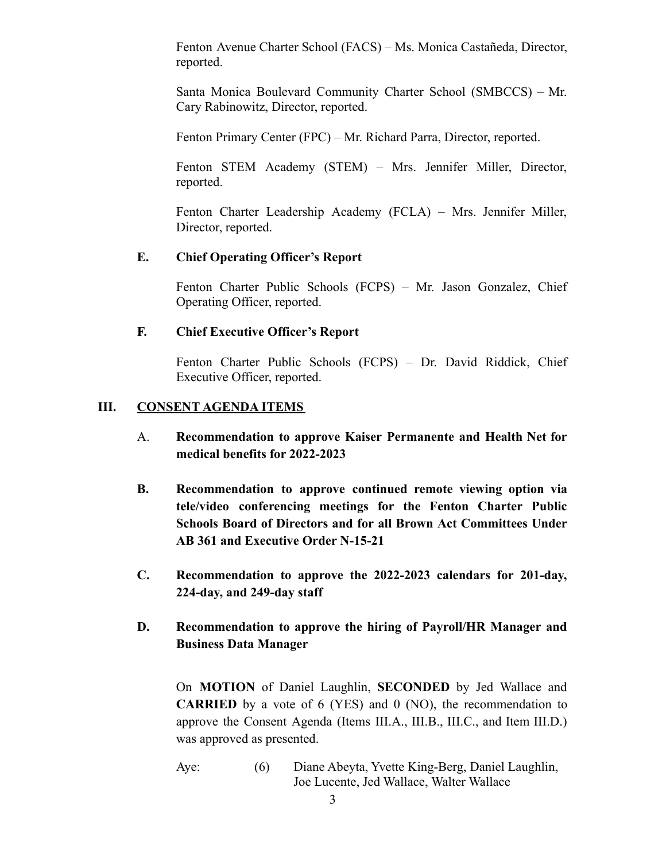Fenton Avenue Charter School (FACS) – Ms. Monica Castañeda, Director, reported.

Santa Monica Boulevard Community Charter School (SMBCCS) – Mr. Cary Rabinowitz, Director, reported.

Fenton Primary Center (FPC) – Mr. Richard Parra, Director, reported.

Fenton STEM Academy (STEM) – Mrs. Jennifer Miller, Director, reported.

Fenton Charter Leadership Academy (FCLA) – Mrs. Jennifer Miller, Director, reported.

# **E. Chief Operating Officer's Report**

Fenton Charter Public Schools (FCPS) – Mr. Jason Gonzalez, Chief Operating Officer, reported.

# **F. Chief Executive Officer's Report**

Fenton Charter Public Schools (FCPS) – Dr. David Riddick, Chief Executive Officer, reported.

# **III. CONSENT AGENDA ITEMS**

- A. **Recommendation to approve Kaiser Permanente and Health Net for medical benefits for 2022-2023**
- **B. Recommendation to approve continued remote viewing option via tele/video conferencing meetings for the Fenton Charter Public Schools Board of Directors and for all Brown Act Committees Under AB 361 and Executive Order N-15-21**
- **C. Recommendation to approve the 2022-2023 calendars for 201-day, 224-day, and 249-day staff**
- **D. Recommendation to approve the hiring of Payroll/HR Manager and Business Data Manager**

On **MOTION** of Daniel Laughlin, **SECONDED** by Jed Wallace and **CARRIED** by a vote of 6 (YES) and 0 (NO), the recommendation to approve the Consent Agenda (Items III.A., III.B., III.C., and Item III.D.) was approved as presented.

Aye: (6) Diane Abeyta, Yvette King-Berg, Daniel Laughlin, Joe Lucente, Jed Wallace, Walter Wallace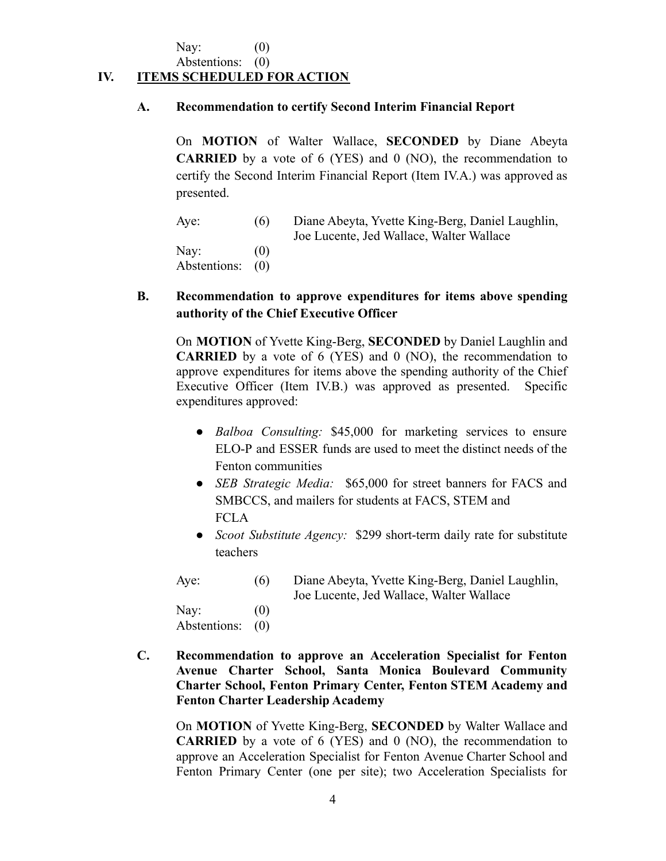Nay:  $(0)$ 

Abstentions: (0)

# **IV. ITEMS SCHEDULED FOR ACTION**

#### **A. Recommendation to certify Second Interim Financial Report**

On **MOTION** of Walter Wallace, **SECONDED** by Diane Abeyta **CARRIED** by a vote of 6 (YES) and 0 (NO), the recommendation to certify the Second Interim Financial Report (Item IV.A.) was approved as presented.

Aye: (6) Diane Abeyta, Yvette King-Berg, Daniel Laughlin, Joe Lucente, Jed Wallace, Walter Wallace Nay:  $(0)$ Abstentions: (0)

# **B. Recommendation to approve expenditures for items above spending authority of the Chief Executive Officer**

On **MOTION** of Yvette King-Berg, **SECONDED** by Daniel Laughlin and **CARRIED** by a vote of 6 (YES) and 0 (NO), the recommendation to approve expenditures for items above the spending authority of the Chief Executive Officer (Item IV.B.) was approved as presented. Specific expenditures approved:

- *Balboa Consulting:* \$45,000 for marketing services to ensure ELO-P and ESSER funds are used to meet the distinct needs of the Fenton communities
- *SEB Strategic Media:* \$65,000 for street banners for FACS and SMBCCS, and mailers for students at FACS, STEM and **FCLA**
- *Scoot Substitute Agency:* \$299 short-term daily rate for substitute teachers

Aye: (6) Diane Abeyta, Yvette King-Berg, Daniel Laughlin, Joe Lucente, Jed Wallace, Walter Wallace

Nay:  $(0)$ Abstentions: (0)

**C. Recommendation to approve an Acceleration Specialist for Fenton Avenue Charter School, Santa Monica Boulevard Community Charter School, Fenton Primary Center, Fenton STEM Academy and Fenton Charter Leadership Academy**

On **MOTION** of Yvette King-Berg, **SECONDED** by Walter Wallace and **CARRIED** by a vote of 6 (YES) and 0 (NO), the recommendation to approve an Acceleration Specialist for Fenton Avenue Charter School and Fenton Primary Center (one per site); two Acceleration Specialists for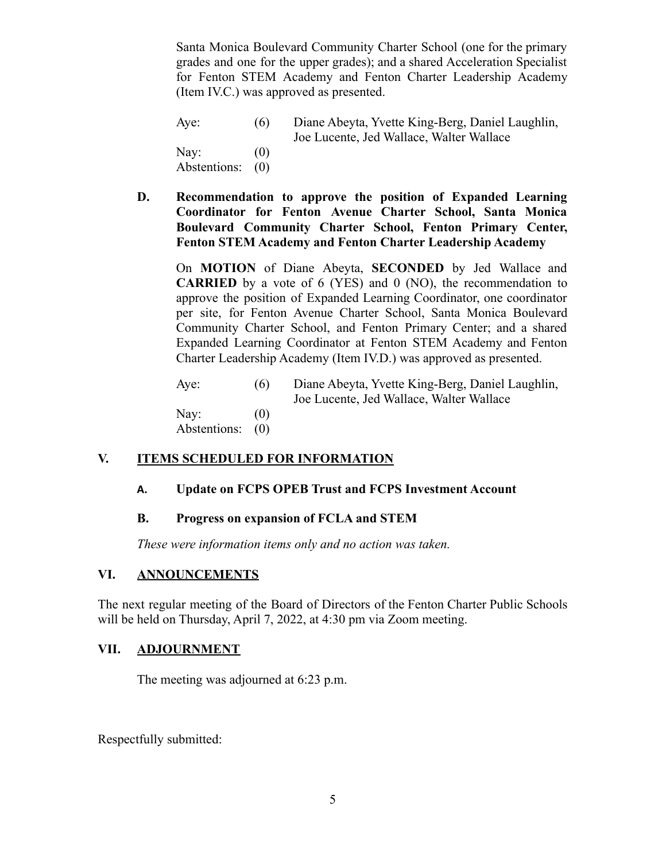Santa Monica Boulevard Community Charter School (one for the primary grades and one for the upper grades); and a shared Acceleration Specialist for Fenton STEM Academy and Fenton Charter Leadership Academy (Item IV.C.) was approved as presented.

| Aye:         | (6) | Diane Abeyta, Yvette King-Berg, Daniel Laughlin, |
|--------------|-----|--------------------------------------------------|
|              |     | Joe Lucente, Jed Wallace, Walter Wallace         |
| Nay:         | (0) |                                                  |
| Abstentions: | (0) |                                                  |

**D. Recommendation to approve the position of Expanded Learning Coordinator for Fenton Avenue Charter School, Santa Monica Boulevard Community Charter School, Fenton Primary Center, Fenton STEM Academy and Fenton Charter Leadership Academy**

On **MOTION** of Diane Abeyta, **SECONDED** by Jed Wallace and **CARRIED** by a vote of 6 (YES) and 0 (NO), the recommendation to approve the position of Expanded Learning Coordinator, one coordinator per site, for Fenton Avenue Charter School, Santa Monica Boulevard Community Charter School, and Fenton Primary Center; and a shared Expanded Learning Coordinator at Fenton STEM Academy and Fenton Charter Leadership Academy (Item IV.D.) was approved as presented.

| Aye:                 | (6)                      | Diane Abeyta, Yvette King-Berg, Daniel Laughlin,<br>Joe Lucente, Jed Wallace, Walter Wallace |
|----------------------|--------------------------|----------------------------------------------------------------------------------------------|
| Nay:<br>Abstentions: | $\left( 0\right)$<br>(0) |                                                                                              |

#### **V. ITEMS SCHEDULED FOR INFORMATION**

#### **A. Update on FCPS OPEB Trust and FCPS Investment Account**

#### **B. Progress on expansion of FCLA and STEM**

*These were information items only and no action was taken.*

# **VI. ANNOUNCEMENTS**

The next regular meeting of the Board of Directors of the Fenton Charter Public Schools will be held on Thursday, April 7, 2022, at 4:30 pm via Zoom meeting.

#### **VII. ADJOURNMENT**

The meeting was adjourned at 6:23 p.m.

Respectfully submitted: